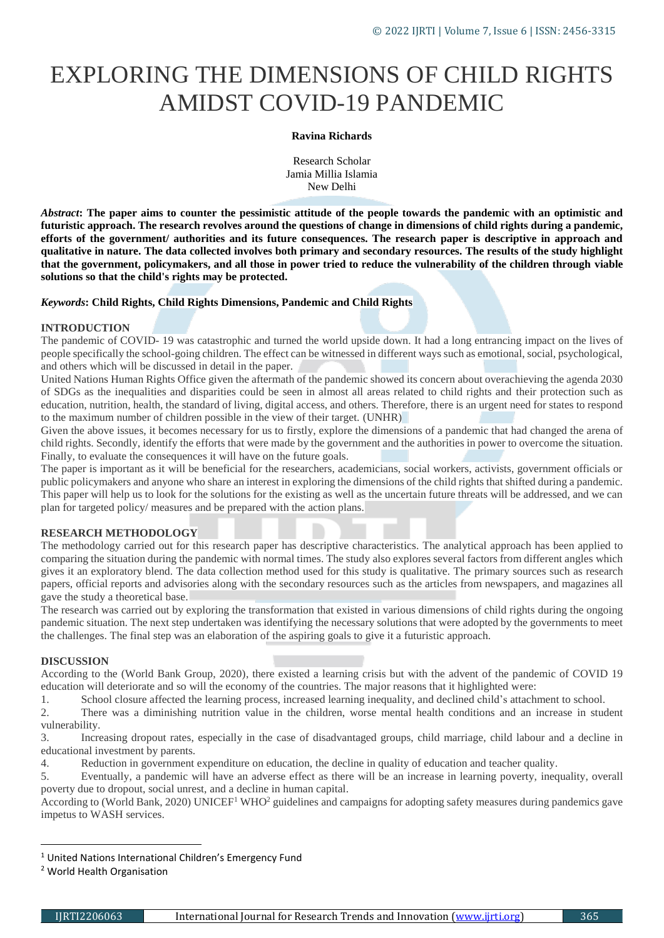# EXPLORING THE DIMENSIONS OF CHILD RIGHTS AMIDST COVID-19 PANDEMIC

#### **Ravina Richards**

Research Scholar Jamia Millia Islamia New Delhi

*Abstract***: The paper aims to counter the pessimistic attitude of the people towards the pandemic with an optimistic and futuristic approach. The research revolves around the questions of change in dimensions of child rights during a pandemic, efforts of the government/ authorities and its future consequences. The research paper is descriptive in approach and qualitative in nature. The data collected involves both primary and secondary resources. The results of the study highlight that the government, policymakers, and all those in power tried to reduce the vulnerability of the children through viable solutions so that the child's rights may be protected.**

## *Keywords***: Child Rights, Child Rights Dimensions, Pandemic and Child Rights**

### **INTRODUCTION**

The pandemic of COVID- 19 was catastrophic and turned the world upside down. It had a long entrancing impact on the lives of people specifically the school-going children. The effect can be witnessed in different ways such as emotional, social, psychological, and others which will be discussed in detail in the paper.

United Nations Human Rights Office given the aftermath of the pandemic showed its concern about overachieving the agenda 2030 of SDGs as the inequalities and disparities could be seen in almost all areas related to child rights and their protection such as education, nutrition, health, the standard of living, digital access, and others. Therefore, there is an urgent need for states to respond to the maximum number of children possible in the view of their target. (UNHR)

Given the above issues, it becomes necessary for us to firstly, explore the dimensions of a pandemic that had changed the arena of child rights. Secondly, identify the efforts that were made by the government and the authorities in power to overcome the situation. Finally, to evaluate the consequences it will have on the future goals.

The paper is important as it will be beneficial for the researchers, academicians, social workers, activists, government officials or public policymakers and anyone who share an interest in exploring the dimensions of the child rights that shifted during a pandemic. This paper will help us to look for the solutions for the existing as well as the uncertain future threats will be addressed, and we can plan for targeted policy/ measures and be prepared with the action plans.

## **RESEARCH METHODOLOGY**

The methodology carried out for this research paper has descriptive characteristics. The analytical approach has been applied to comparing the situation during the pandemic with normal times. The study also explores several factors from different angles which gives it an exploratory blend. The data collection method used for this study is qualitative. The primary sources such as research papers, official reports and advisories along with the secondary resources such as the articles from newspapers, and magazines all gave the study a theoretical base.

The research was carried out by exploring the transformation that existed in various dimensions of child rights during the ongoing pandemic situation. The next step undertaken was identifying the necessary solutions that were adopted by the governments to meet the challenges. The final step was an elaboration of the aspiring goals to give it a futuristic approach.

### **DISCUSSION**

According to the (World Bank Group, 2020), there existed a learning crisis but with the advent of the pandemic of COVID 19 education will deteriorate and so will the economy of the countries. The major reasons that it highlighted were:

1. School closure affected the learning process, increased learning inequality, and declined child's attachment to school.

2. There was a diminishing nutrition value in the children, worse mental health conditions and an increase in student vulnerability.

3. Increasing dropout rates, especially in the case of disadvantaged groups, child marriage, child labour and a decline in educational investment by parents.

4. Reduction in government expenditure on education, the decline in quality of education and teacher quality.

5. Eventually, a pandemic will have an adverse effect as there will be an increase in learning poverty, inequality, overall poverty due to dropout, social unrest, and a decline in human capital.

According to (World Bank, 2020) UNICEF<sup>1</sup> WHO<sup>2</sup> guidelines and campaigns for adopting safety measures during pandemics gave impetus to WASH services.

**.** 

<sup>&</sup>lt;sup>1</sup> United Nations International Children's Emergency Fund

<sup>2</sup> World Health Organisation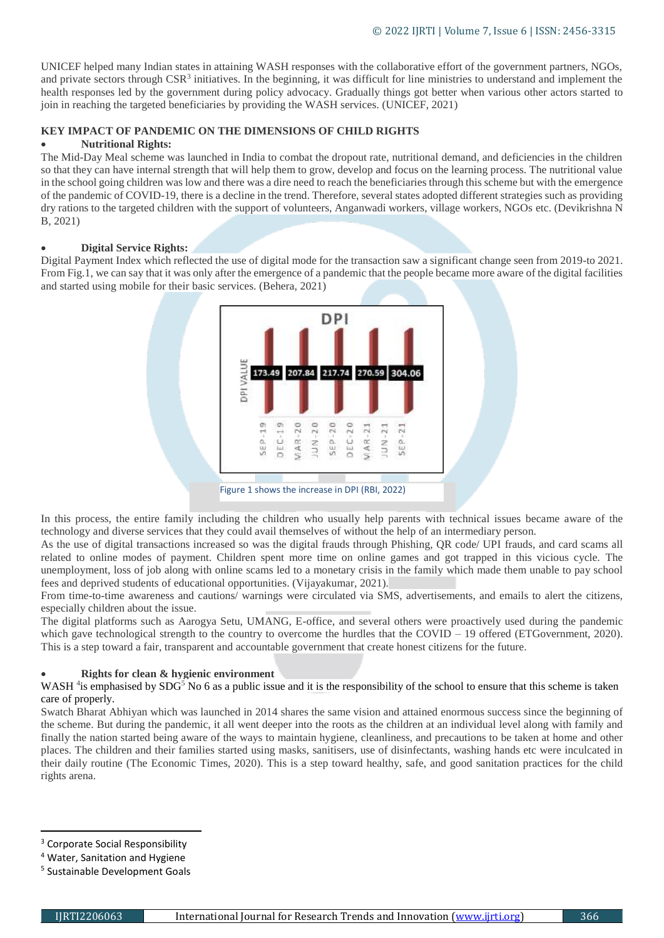UNICEF helped many Indian states in attaining WASH responses with the collaborative effort of the government partners, NGOs, and private sectors through CSR<sup>3</sup> initiatives. In the beginning, it was difficult for line ministries to understand and implement the health responses led by the government during policy advocacy. Gradually things got better when various other actors started to join in reaching the targeted beneficiaries by providing the WASH services. (UNICEF, 2021)

# **KEY IMPACT OF PANDEMIC ON THE DIMENSIONS OF CHILD RIGHTS**

# **Nutritional Rights:**

The Mid-Day Meal scheme was launched in India to combat the dropout rate, nutritional demand, and deficiencies in the children so that they can have internal strength that will help them to grow, develop and focus on the learning process. The nutritional value in the school going children was low and there was a dire need to reach the beneficiaries through this scheme but with the emergence of the pandemic of COVID-19, there is a decline in the trend. Therefore, several states adopted different strategies such as providing dry rations to the targeted children with the support of volunteers, Anganwadi workers, village workers, NGOs etc. (Devikrishna N B, 2021)

## **Digital Service Rights:**

Digital Payment Index which reflected the use of digital mode for the transaction saw a significant change seen from 2019-to 2021. From Fig.1, we can say that it was only after the emergence of a pandemic that the people became more aware of the digital facilities and started using mobile for their basic services. (Behera, 2021)



In this process, the entire family including the children who usually help parents with technical issues became aware of the technology and diverse services that they could avail themselves of without the help of an intermediary person.

As the use of digital transactions increased so was the digital frauds through Phishing, QR code/ UPI frauds, and card scams all related to online modes of payment. Children spent more time on online games and got trapped in this vicious cycle. The unemployment, loss of job along with online scams led to a monetary crisis in the family which made them unable to pay school fees and deprived students of educational opportunities. (Vijayakumar, 2021).

From time-to-time awareness and cautions/ warnings were circulated via SMS, advertisements, and emails to alert the citizens, especially children about the issue.

The digital platforms such as Aarogya Setu, UMANG, E-office, and several others were proactively used during the pandemic which gave technological strength to the country to overcome the hurdles that the COVID – 19 offered (ETGovernment, 2020). This is a step toward a fair, transparent and accountable government that create honest citizens for the future.

## **Rights for clean & hygienic environment**

## WASH  $4$  is emphasised by SDG<sup>5</sup> No 6 as a public issue and it is the responsibility of the school to ensure that this scheme is taken care of properly.

Swatch Bharat Abhiyan which was launched in 2014 shares the same vision and attained enormous success since the beginning of the scheme. But during the pandemic, it all went deeper into the roots as the children at an individual level along with family and finally the nation started being aware of the ways to maintain hygiene, cleanliness, and precautions to be taken at home and other places. The children and their families started using masks, sanitisers, use of disinfectants, washing hands etc were inculcated in their daily routine (The Economic Times, 2020). This is a step toward healthy, safe, and good sanitation practices for the child rights arena.

**.** 

<sup>&</sup>lt;sup>3</sup> Corporate Social Responsibility

<sup>4</sup> Water, Sanitation and Hygiene

<sup>5</sup> Sustainable Development Goals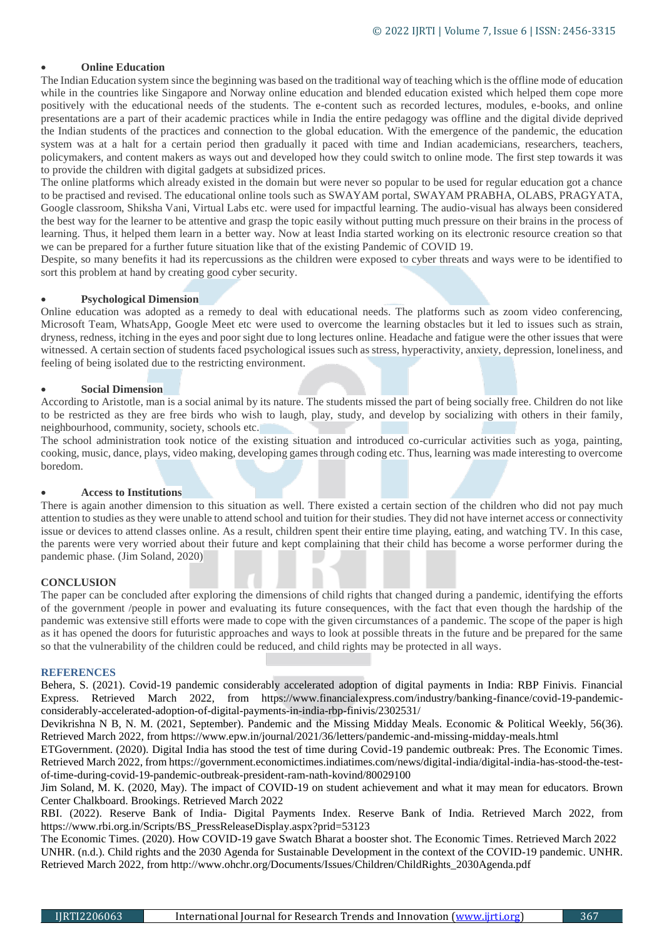# **Online Education**

The Indian Education system since the beginning was based on the traditional way of teaching which is the offline mode of education while in the countries like Singapore and Norway online education and blended education existed which helped them cope more positively with the educational needs of the students. The e-content such as recorded lectures, modules, e-books, and online presentations are a part of their academic practices while in India the entire pedagogy was offline and the digital divide deprived the Indian students of the practices and connection to the global education. With the emergence of the pandemic, the education system was at a halt for a certain period then gradually it paced with time and Indian academicians, researchers, teachers, policymakers, and content makers as ways out and developed how they could switch to online mode. The first step towards it was to provide the children with digital gadgets at subsidized prices.

The online platforms which already existed in the domain but were never so popular to be used for regular education got a chance to be practised and revised. The educational online tools such as SWAYAM portal, SWAYAM PRABHA, OLABS, PRAGYATA, Google classroom, Shiksha Vani, Virtual Labs etc. were used for impactful learning. The audio-visual has always been considered the best way for the learner to be attentive and grasp the topic easily without putting much pressure on their brains in the process of learning. Thus, it helped them learn in a better way. Now at least India started working on its electronic resource creation so that we can be prepared for a further future situation like that of the existing Pandemic of COVID 19.

Despite, so many benefits it had its repercussions as the children were exposed to cyber threats and ways were to be identified to sort this problem at hand by creating good cyber security.

## **Psychological Dimension**

Online education was adopted as a remedy to deal with educational needs. The platforms such as zoom video conferencing, Microsoft Team, WhatsApp, Google Meet etc were used to overcome the learning obstacles but it led to issues such as strain, dryness, redness, itching in the eyes and poor sight due to long lectures online. Headache and fatigue were the other issues that were witnessed. A certain section of students faced psychological issues such as stress, hyperactivity, anxiety, depression, loneliness, and feeling of being isolated due to the restricting environment.

### **Social Dimension**

According to Aristotle, man is a social animal by its nature. The students missed the part of being socially free. Children do not like to be restricted as they are free birds who wish to laugh, play, study, and develop by socializing with others in their family, neighbourhood, community, society, schools etc.

The school administration took notice of the existing situation and introduced co-curricular activities such as yoga, painting, cooking, music, dance, plays, video making, developing games through coding etc. Thus, learning was made interesting to overcome boredom.

### **Access to Institutions**

There is again another dimension to this situation as well. There existed a certain section of the children who did not pay much attention to studies as they were unable to attend school and tuition for their studies. They did not have internet access or connectivity issue or devices to attend classes online. As a result, children spent their entire time playing, eating, and watching TV. In this case, the parents were very worried about their future and kept complaining that their child has become a worse performer during the pandemic phase. (Jim Soland, 2020)

### **CONCLUSION**

The paper can be concluded after exploring the dimensions of child rights that changed during a pandemic, identifying the efforts of the government /people in power and evaluating its future consequences, with the fact that even though the hardship of the pandemic was extensive still efforts were made to cope with the given circumstances of a pandemic. The scope of the paper is high as it has opened the doors for futuristic approaches and ways to look at possible threats in the future and be prepared for the same so that the vulnerability of the children could be reduced, and child rights may be protected in all ways.

### **REFERENCES**

Behera, S. (2021). Covid-19 pandemic considerably accelerated adoption of digital payments in India: RBP Finivis. Financial Express. Retrieved March 2022, from https://www.financialexpress.com/industry/banking-finance/covid-19-pandemicconsiderably-accelerated-adoption-of-digital-payments-in-india-rbp-finivis/2302531/

Devikrishna N B, N. M. (2021, September). Pandemic and the Missing Midday Meals. Economic & Political Weekly, 56(36). Retrieved March 2022, from https://www.epw.in/journal/2021/36/letters/pandemic-and-missing-midday-meals.html

ETGovernment. (2020). Digital India has stood the test of time during Covid-19 pandemic outbreak: Pres. The Economic Times. Retrieved March 2022, from https://government.economictimes.indiatimes.com/news/digital-india/digital-india-has-stood-the-testof-time-during-covid-19-pandemic-outbreak-president-ram-nath-kovind/80029100

Jim Soland, M. K. (2020, May). The impact of COVID-19 on student achievement and what it may mean for educators. Brown Center Chalkboard. Brookings. Retrieved March 2022

RBI. (2022). Reserve Bank of India- Digital Payments Index. Reserve Bank of India. Retrieved March 2022, from https://www.rbi.org.in/Scripts/BS\_PressReleaseDisplay.aspx?prid=53123

The Economic Times. (2020). How COVID-19 gave Swatch Bharat a booster shot. The Economic Times. Retrieved March 2022 UNHR. (n.d.). Child rights and the 2030 Agenda for Sustainable Development in the context of the COVID-19 pandemic. UNHR. Retrieved March 2022, from http://www.ohchr.org/Documents/Issues/Children/ChildRights\_2030Agenda.pdf